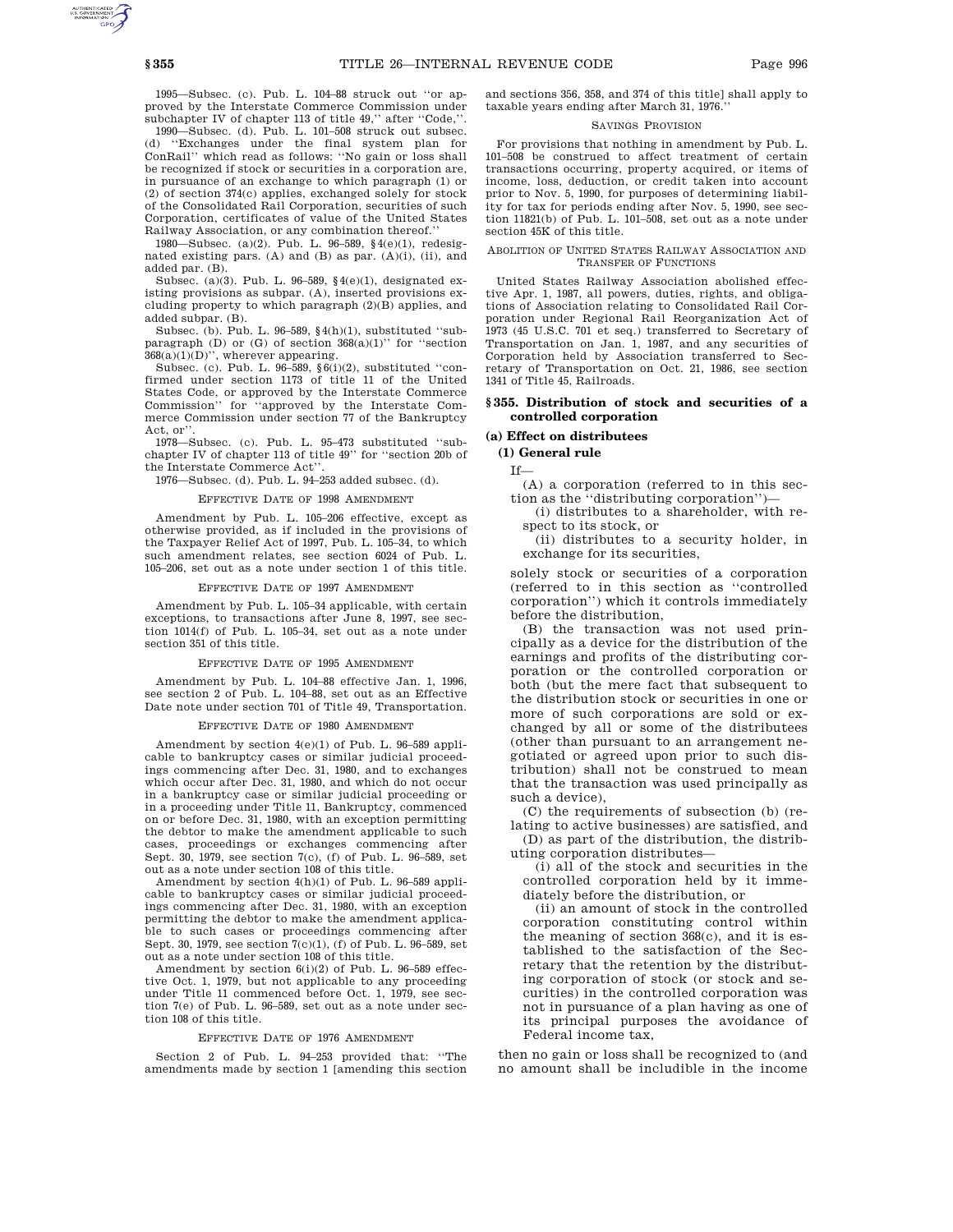1995—Subsec. (c). Pub. L. 104–88 struck out ''or approved by the Interstate Commerce Commission under subchapter IV of chapter 113 of title 49,'' after ''Code,''.

1990—Subsec. (d). Pub. L. 101–508 struck out subsec. (d) ''Exchanges under the final system plan for ConRail'' which read as follows: ''No gain or loss shall be recognized if stock or securities in a corporation are, in pursuance of an exchange to which paragraph (1) or (2) of section 374(c) applies, exchanged solely for stock of the Consolidated Rail Corporation, securities of such Corporation, certificates of value of the United States Railway Association, or any combination thereof.''

1980—Subsec. (a)(2). Pub. L. 96–589, §4(e)(1), redesignated existing pars. (A) and (B) as par. (A)(i), (ii), and added par. (B).

Subsec. (a)(3). Pub. L. 96–589, §4(e)(1), designated existing provisions as subpar. (A), inserted provisions excluding property to which paragraph  $(2)(\mathrm{B})$  applies, and added subpar. (B).

Subsec. (b). Pub. L. 96–589,  $\S4(h)(1)$ , substituted ''subparagraph (D) or (G) of section  $368(a)(1)$  ' for ''section 368(a)(1)(D)'', wherever appearing.

Subsec. (c). Pub. L. 96–589, §6(i)(2), substituted ''confirmed under section 1173 of title 11 of the United States Code, or approved by the Interstate Commerce Commission'' for ''approved by the Interstate Commerce Commission under section 77 of the Bankruptcy Act, or''.

1978—Subsec. (c). Pub. L. 95–473 substituted ''subchapter IV of chapter 113 of title 49'' for ''section 20b of the Interstate Commerce Act''.

1976—Subsec. (d). Pub. L. 94–253 added subsec. (d).

#### EFFECTIVE DATE OF 1998 AMENDMENT

Amendment by Pub. L. 105–206 effective, except as otherwise provided, as if included in the provisions of the Taxpayer Relief Act of 1997, Pub. L. 105–34, to which such amendment relates, see section 6024 of Pub. L. 105–206, set out as a note under section 1 of this title.

## EFFECTIVE DATE OF 1997 AMENDMENT

Amendment by Pub. L. 105–34 applicable, with certain exceptions, to transactions after June 8, 1997, see section 1014(f) of Pub. L. 105–34, set out as a note under section 351 of this title.

#### EFFECTIVE DATE OF 1995 AMENDMENT

Amendment by Pub. L. 104–88 effective Jan. 1, 1996, see section 2 of Pub. L. 104–88, set out as an Effective Date note under section 701 of Title 49, Transportation.

#### EFFECTIVE DATE OF 1980 AMENDMENT

Amendment by section 4(e)(1) of Pub. L. 96–589 applicable to bankruptcy cases or similar judicial proceedings commencing after Dec. 31, 1980, and to exchanges which occur after Dec. 31, 1980, and which do not occur in a bankruptcy case or similar judicial proceeding or in a proceeding under Title 11, Bankruptcy, commenced on or before Dec. 31, 1980, with an exception permitting the debtor to make the amendment applicable to such cases, proceedings or exchanges commencing after Sept. 30, 1979, see section 7(c), (f) of Pub. L. 96–589, set out as a note under section 108 of this title.

Amendment by section 4(h)(1) of Pub. L. 96–589 applicable to bankruptcy cases or similar judicial proceedings commencing after Dec. 31, 1980, with an exception permitting the debtor to make the amendment applicable to such cases or proceedings commencing after Sept. 30, 1979, see section 7(c)(1), (f) of Pub. L. 96–589, set out as a note under section 108 of this title.

Amendment by section 6(i)(2) of Pub. L. 96–589 effective Oct. 1, 1979, but not applicable to any proceeding under Title 11 commenced before Oct. 1, 1979, see section 7(e) of Pub. L. 96–589, set out as a note under section 108 of this title.

#### EFFECTIVE DATE OF 1976 AMENDMENT

Section 2 of Pub. L. 94–253 provided that: ''The amendments made by section 1 [amending this section and sections 356, 358, and 374 of this title] shall apply to taxable years ending after March 31, 1976.''

### SAVINGS PROVISION

For provisions that nothing in amendment by Pub. L. 101–508 be construed to affect treatment of certain transactions occurring, property acquired, or items of income, loss, deduction, or credit taken into account prior to Nov. 5, 1990, for purposes of determining liability for tax for periods ending after Nov. 5, 1990, see section 11821(b) of Pub. L. 101–508, set out as a note under section 45K of this title.

#### ABOLITION OF UNITED STATES RAILWAY ASSOCIATION AND TRANSFER OF FUNCTIONS

United States Railway Association abolished effective Apr. 1, 1987, all powers, duties, rights, and obligations of Association relating to Consolidated Rail Corporation under Regional Rail Reorganization Act of 1973 (45 U.S.C. 701 et seq.) transferred to Secretary of Transportation on Jan. 1, 1987, and any securities of Corporation held by Association transferred to Secretary of Transportation on Oct. 21, 1986, see section 1341 of Title 45, Railroads.

## **§ 355. Distribution of stock and securities of a controlled corporation**

### **(a) Effect on distributees**

## **(1) General rule**

If—

(A) a corporation (referred to in this section as the ''distributing corporation'')—

(i) distributes to a shareholder, with respect to its stock, or

(ii) distributes to a security holder, in exchange for its securities,

solely stock or securities of a corporation (referred to in this section as ''controlled corporation'') which it controls immediately before the distribution,

(B) the transaction was not used principally as a device for the distribution of the earnings and profits of the distributing corporation or the controlled corporation or both (but the mere fact that subsequent to the distribution stock or securities in one or more of such corporations are sold or exchanged by all or some of the distributees (other than pursuant to an arrangement negotiated or agreed upon prior to such distribution) shall not be construed to mean that the transaction was used principally as such a device),

(C) the requirements of subsection (b) (relating to active businesses) are satisfied, and

(D) as part of the distribution, the distributing corporation distributes—

(i) all of the stock and securities in the controlled corporation held by it immediately before the distribution, or

(ii) an amount of stock in the controlled corporation constituting control within the meaning of section 368(c), and it is established to the satisfaction of the Secretary that the retention by the distributing corporation of stock (or stock and securities) in the controlled corporation was not in pursuance of a plan having as one of its principal purposes the avoidance of Federal income tax,

then no gain or loss shall be recognized to (and no amount shall be includible in the income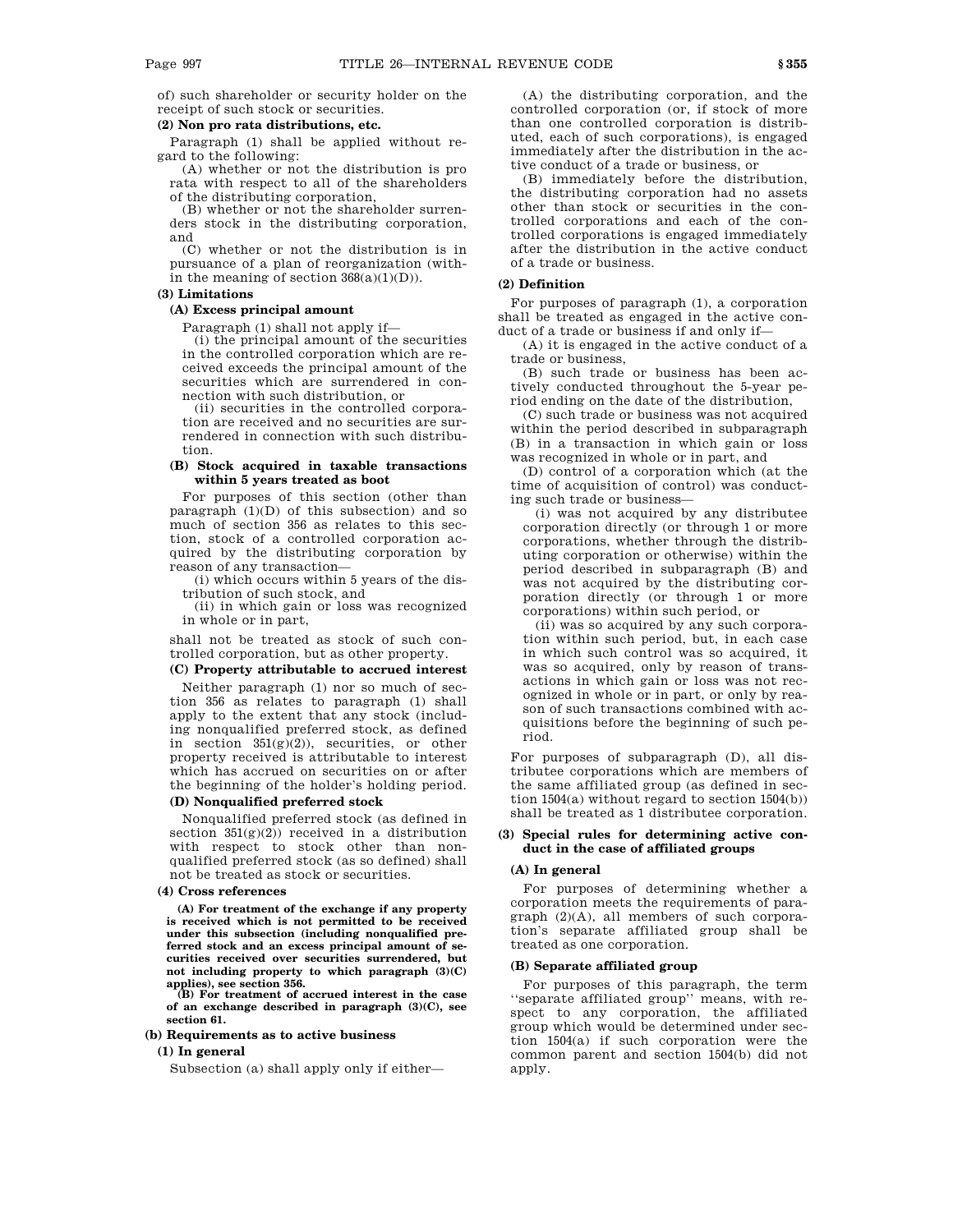of) such shareholder or security holder on the receipt of such stock or securities.

### **(2) Non pro rata distributions, etc.**

Paragraph (1) shall be applied without regard to the following:

(A) whether or not the distribution is pro rata with respect to all of the shareholders of the distributing corporation,

(B) whether or not the shareholder surrenders stock in the distributing corporation, and

(C) whether or not the distribution is in pursuance of a plan of reorganization (within the meaning of section  $368(a)(1)(D)$ .

### **(3) Limitations**

### **(A) Excess principal amount**

Paragraph (1) shall not apply if—

(i) the principal amount of the securities in the controlled corporation which are received exceeds the principal amount of the securities which are surrendered in connection with such distribution, or

(ii) securities in the controlled corporation are received and no securities are surrendered in connection with such distribution.

### **(B) Stock acquired in taxable transactions within 5 years treated as boot**

For purposes of this section (other than paragraph  $(1)(D)$  of this subsection) and so much of section 356 as relates to this section, stock of a controlled corporation acquired by the distributing corporation by reason of any transaction—

(i) which occurs within 5 years of the distribution of such stock, and

(ii) in which gain or loss was recognized in whole or in part,

shall not be treated as stock of such controlled corporation, but as other property.

# **(C) Property attributable to accrued interest**

Neither paragraph (1) nor so much of section 356 as relates to paragraph (1) shall apply to the extent that any stock (including nonqualified preferred stock, as defined in section  $351(g)(2)$ , securities, or other property received is attributable to interest which has accrued on securities on or after the beginning of the holder's holding period.

## **(D) Nonqualified preferred stock**

Nonqualified preferred stock (as defined in section  $351(g)(2)$  received in a distribution with respect to stock other than nonqualified preferred stock (as so defined) shall not be treated as stock or securities.

### **(4) Cross references**

**(A) For treatment of the exchange if any property is received which is not permitted to be received under this subsection (including nonqualified preferred stock and an excess principal amount of securities received over securities surrendered, but not including property to which paragraph (3)(C) applies), see section 356.**

**(B) For treatment of accrued interest in the case of an exchange described in paragraph (3)(C), see section 61.**

## **(b) Requirements as to active business**

## **(1) In general**

Subsection (a) shall apply only if either—

(A) the distributing corporation, and the controlled corporation (or, if stock of more than one controlled corporation is distributed, each of such corporations), is engaged immediately after the distribution in the active conduct of a trade or business, or

(B) immediately before the distribution, the distributing corporation had no assets other than stock or securities in the controlled corporations and each of the controlled corporations is engaged immediately after the distribution in the active conduct of a trade or business.

### **(2) Definition**

For purposes of paragraph (1), a corporation shall be treated as engaged in the active conduct of a trade or business if and only if—

(A) it is engaged in the active conduct of a trade or business,

(B) such trade or business has been actively conducted throughout the 5-year period ending on the date of the distribution,

(C) such trade or business was not acquired within the period described in subparagraph (B) in a transaction in which gain or loss was recognized in whole or in part, and

(D) control of a corporation which (at the time of acquisition of control) was conducting such trade or business—

(i) was not acquired by any distributee corporation directly (or through 1 or more corporations, whether through the distributing corporation or otherwise) within the period described in subparagraph (B) and was not acquired by the distributing corporation directly (or through 1 or more corporations) within such period, or

(ii) was so acquired by any such corporation within such period, but, in each case in which such control was so acquired, it was so acquired, only by reason of transactions in which gain or loss was not recognized in whole or in part, or only by reason of such transactions combined with acquisitions before the beginning of such period.

For purposes of subparagraph (D), all distributee corporations which are members of the same affiliated group (as defined in section 1504(a) without regard to section 1504(b)) shall be treated as 1 distributee corporation.

## **(3) Special rules for determining active conduct in the case of affiliated groups**

## **(A) In general**

For purposes of determining whether a corporation meets the requirements of paragraph (2)(A), all members of such corporation's separate affiliated group shall be treated as one corporation.

# **(B) Separate affiliated group**

For purposes of this paragraph, the term ''separate affiliated group'' means, with respect to any corporation, the affiliated group which would be determined under section 1504(a) if such corporation were the common parent and section 1504(b) did not apply.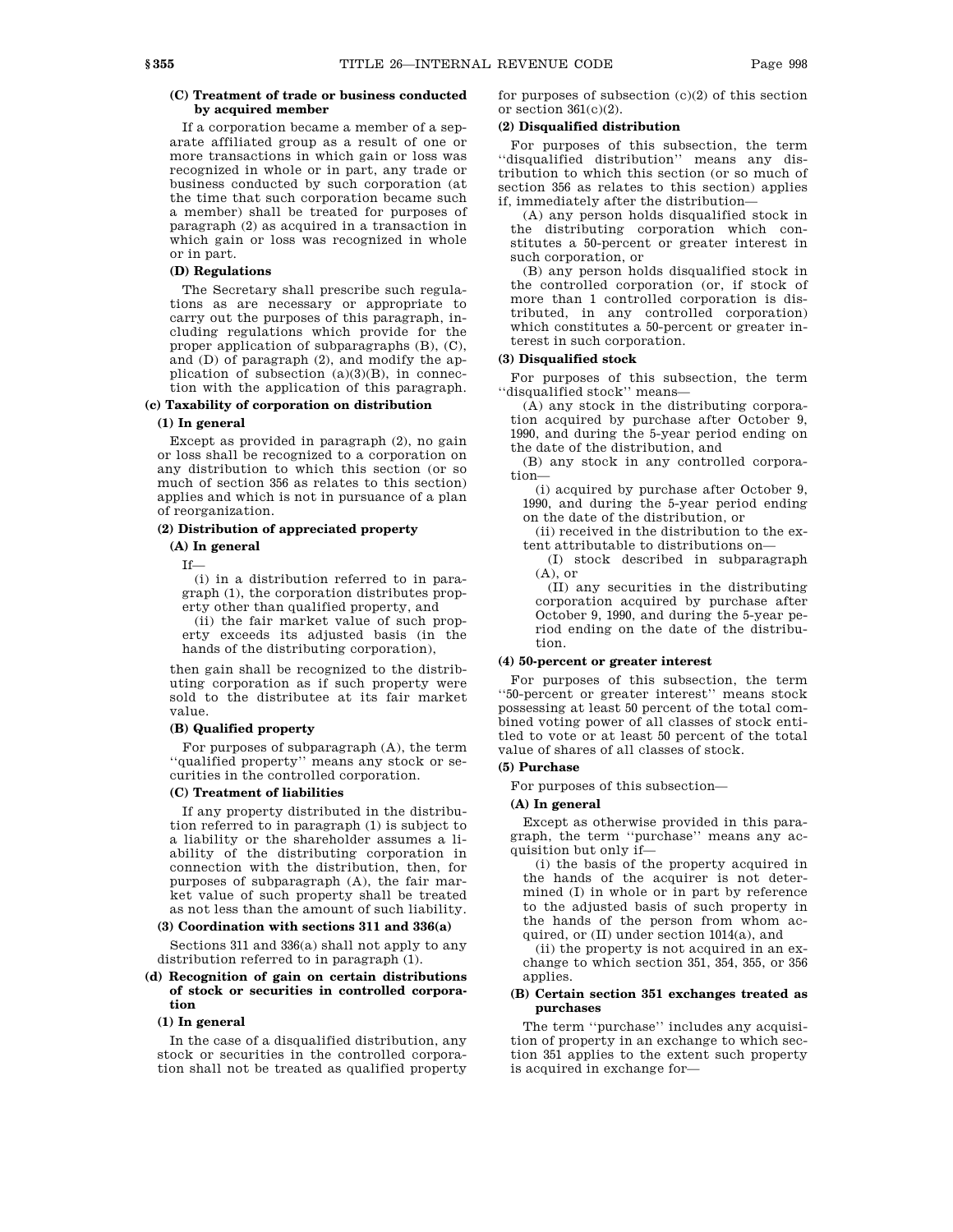## **(C) Treatment of trade or business conducted by acquired member**

If a corporation became a member of a separate affiliated group as a result of one or more transactions in which gain or loss was recognized in whole or in part, any trade or business conducted by such corporation (at the time that such corporation became such a member) shall be treated for purposes of paragraph (2) as acquired in a transaction in which gain or loss was recognized in whole or in part.

## **(D) Regulations**

The Secretary shall prescribe such regulations as are necessary or appropriate to carry out the purposes of this paragraph, including regulations which provide for the proper application of subparagraphs (B), (C), and (D) of paragraph (2), and modify the application of subsection  $(a)(3)(B)$ , in connection with the application of this paragraph.

## **(c) Taxability of corporation on distribution (1) In general**

Except as provided in paragraph (2), no gain or loss shall be recognized to a corporation on any distribution to which this section (or so much of section 356 as relates to this section) applies and which is not in pursuance of a plan of reorganization.

## **(2) Distribution of appreciated property**

### **(A) In general**

If—

(i) in a distribution referred to in paragraph (1), the corporation distributes property other than qualified property, and

(ii) the fair market value of such property exceeds its adjusted basis (in the hands of the distributing corporation),

then gain shall be recognized to the distributing corporation as if such property were sold to the distributee at its fair market value.

### **(B) Qualified property**

For purposes of subparagraph (A), the term ''qualified property'' means any stock or securities in the controlled corporation.

# **(C) Treatment of liabilities**

If any property distributed in the distribution referred to in paragraph (1) is subject to a liability or the shareholder assumes a liability of the distributing corporation in connection with the distribution, then, for purposes of subparagraph (A), the fair market value of such property shall be treated as not less than the amount of such liability.

### **(3) Coordination with sections 311 and 336(a)**

Sections 311 and 336(a) shall not apply to any distribution referred to in paragraph (1).

### **(d) Recognition of gain on certain distributions of stock or securities in controlled corporation**

#### **(1) In general**

In the case of a disqualified distribution, any stock or securities in the controlled corporation shall not be treated as qualified property for purposes of subsection  $(c)(2)$  of this section or section  $361(c)(2)$ .

## **(2) Disqualified distribution**

For purposes of this subsection, the term ''disqualified distribution'' means any distribution to which this section (or so much of section 356 as relates to this section) applies if, immediately after the distribution—

(A) any person holds disqualified stock in the distributing corporation which constitutes a 50-percent or greater interest in such corporation, or

(B) any person holds disqualified stock in the controlled corporation (or, if stock of more than 1 controlled corporation is distributed, in any controlled corporation) which constitutes a 50-percent or greater interest in such corporation.

## **(3) Disqualified stock**

For purposes of this subsection, the term ''disqualified stock'' means—

(A) any stock in the distributing corporation acquired by purchase after October 9, 1990, and during the 5-year period ending on the date of the distribution, and

(B) any stock in any controlled corporation—

(i) acquired by purchase after October 9, 1990, and during the 5-year period ending on the date of the distribution, or

(ii) received in the distribution to the extent attributable to distributions on—

(I) stock described in subparagraph  $(A)$ , or

(II) any securities in the distributing corporation acquired by purchase after October 9, 1990, and during the 5-year period ending on the date of the distribution.

### **(4) 50-percent or greater interest**

For purposes of this subsection, the term ''50-percent or greater interest'' means stock possessing at least 50 percent of the total combined voting power of all classes of stock entitled to vote or at least 50 percent of the total value of shares of all classes of stock.

### **(5) Purchase**

For purposes of this subsection—

### **(A) In general**

Except as otherwise provided in this paragraph, the term ''purchase'' means any acquisition but only if—

(i) the basis of the property acquired in the hands of the acquirer is not determined (I) in whole or in part by reference to the adjusted basis of such property in the hands of the person from whom acquired, or (II) under section 1014(a), and

(ii) the property is not acquired in an exchange to which section 351, 354, 355, or 356 applies.

## **(B) Certain section 351 exchanges treated as purchases**

The term ''purchase'' includes any acquisition of property in an exchange to which section 351 applies to the extent such property is acquired in exchange for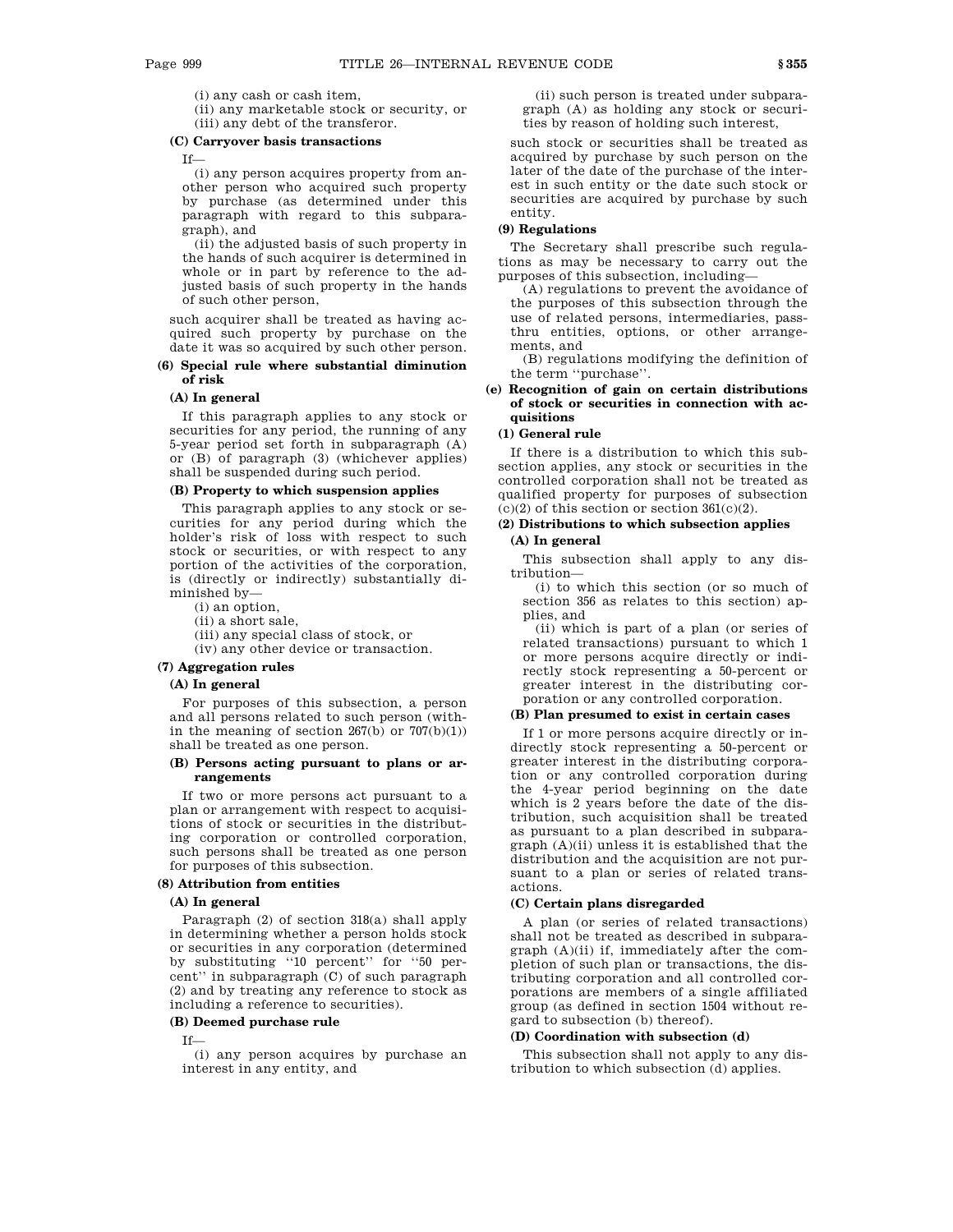(i) any cash or cash item,

(ii) any marketable stock or security, or (iii) any debt of the transferor.

#### **(C) Carryover basis transactions**

If—

(i) any person acquires property from another person who acquired such property by purchase (as determined under this paragraph with regard to this subparagraph), and

(ii) the adjusted basis of such property in the hands of such acquirer is determined in whole or in part by reference to the adjusted basis of such property in the hands of such other person,

such acquirer shall be treated as having acquired such property by purchase on the date it was so acquired by such other person.

## **(6) Special rule where substantial diminution of risk**

### **(A) In general**

If this paragraph applies to any stock or securities for any period, the running of any 5-year period set forth in subparagraph (A) or (B) of paragraph (3) (whichever applies) shall be suspended during such period.

## **(B) Property to which suspension applies**

This paragraph applies to any stock or securities for any period during which the holder's risk of loss with respect to such stock or securities, or with respect to any portion of the activities of the corporation, is (directly or indirectly) substantially diminished by—

(i) an option,

- (ii) a short sale,
- (iii) any special class of stock, or

(iv) any other device or transaction.

# **(7) Aggregation rules**

# **(A) In general**

For purposes of this subsection, a person and all persons related to such person (within the meaning of section  $267(b)$  or  $707(b)(1)$ ) shall be treated as one person.

## **(B) Persons acting pursuant to plans or arrangements**

If two or more persons act pursuant to a plan or arrangement with respect to acquisitions of stock or securities in the distributing corporation or controlled corporation, such persons shall be treated as one person for purposes of this subsection.

### **(8) Attribution from entities**

### **(A) In general**

Paragraph (2) of section 318(a) shall apply in determining whether a person holds stock or securities in any corporation (determined by substituting ''10 percent'' for ''50 percent'' in subparagraph (C) of such paragraph (2) and by treating any reference to stock as including a reference to securities).

#### **(B) Deemed purchase rule**

If—

(i) any person acquires by purchase an interest in any entity, and

(ii) such person is treated under subparagraph (A) as holding any stock or securities by reason of holding such interest,

such stock or securities shall be treated as acquired by purchase by such person on the later of the date of the purchase of the interest in such entity or the date such stock or securities are acquired by purchase by such entity.

## **(9) Regulations**

The Secretary shall prescribe such regulations as may be necessary to carry out the purposes of this subsection, including—

(A) regulations to prevent the avoidance of the purposes of this subsection through the use of related persons, intermediaries, passthru entities, options, or other arrangements, and

(B) regulations modifying the definition of the term ''purchase''.

## **(e) Recognition of gain on certain distributions of stock or securities in connection with acquisitions**

# **(1) General rule**

If there is a distribution to which this subsection applies, any stock or securities in the controlled corporation shall not be treated as qualified property for purposes of subsection  $(c)(2)$  of this section or section  $361(c)(2)$ .

## **(2) Distributions to which subsection applies (A) In general**

This subsection shall apply to any distribution—

(i) to which this section (or so much of section 356 as relates to this section) applies, and

(ii) which is part of a plan (or series of related transactions) pursuant to which 1 or more persons acquire directly or indirectly stock representing a 50-percent or greater interest in the distributing corporation or any controlled corporation.

### **(B) Plan presumed to exist in certain cases**

If 1 or more persons acquire directly or indirectly stock representing a 50-percent or greater interest in the distributing corporation or any controlled corporation during the 4-year period beginning on the date which is 2 years before the date of the distribution, such acquisition shall be treated as pursuant to a plan described in subparagraph (A)(ii) unless it is established that the distribution and the acquisition are not pursuant to a plan or series of related transactions.

### **(C) Certain plans disregarded**

A plan (or series of related transactions) shall not be treated as described in subparagraph (A)(ii) if, immediately after the completion of such plan or transactions, the distributing corporation and all controlled corporations are members of a single affiliated group (as defined in section 1504 without regard to subsection (b) thereof).

## **(D) Coordination with subsection (d)**

This subsection shall not apply to any distribution to which subsection (d) applies.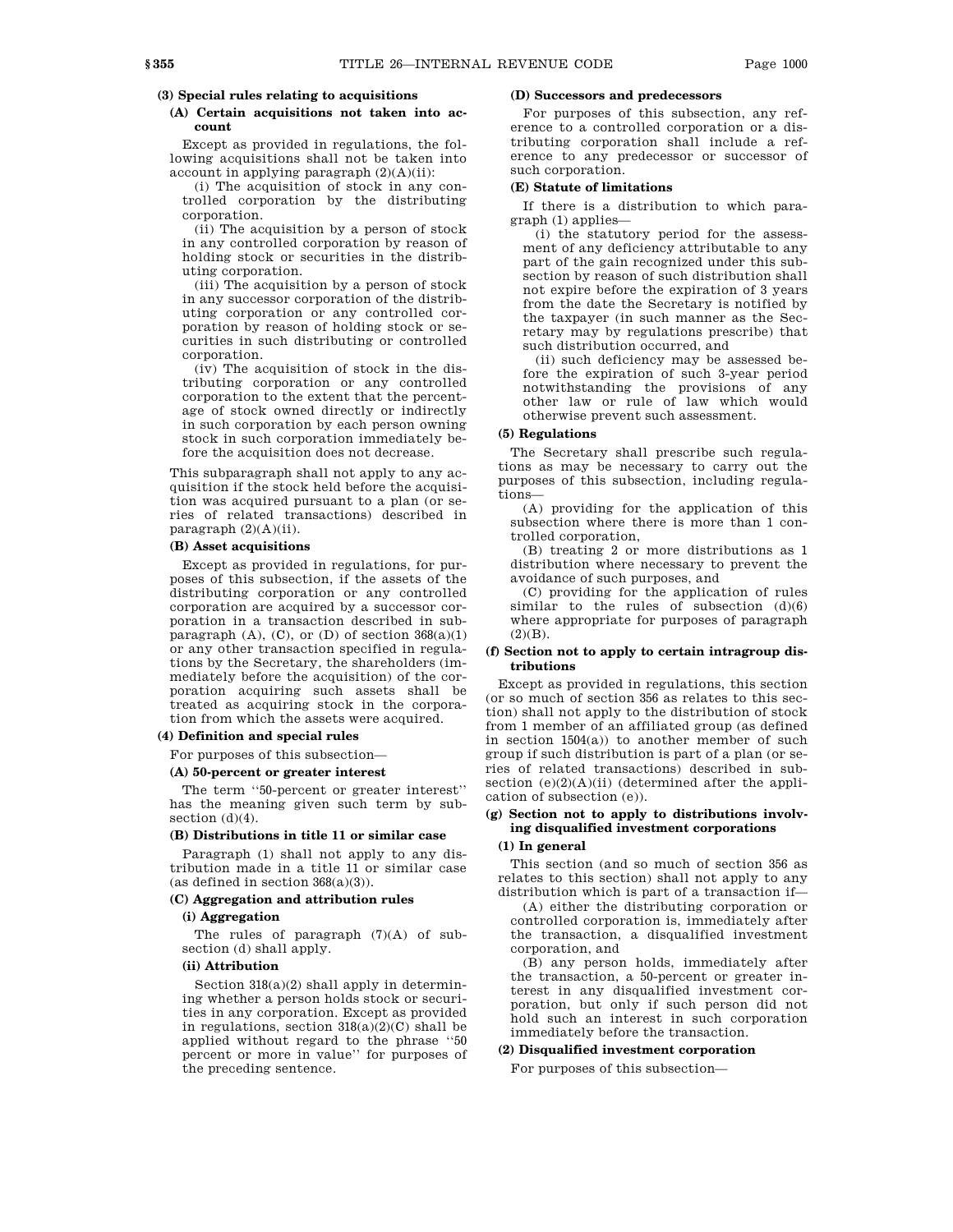## **(3) Special rules relating to acquisitions**

## **(A) Certain acquisitions not taken into account**

Except as provided in regulations, the following acquisitions shall not be taken into account in applying paragraph  $(2)(A)(ii)$ :

(i) The acquisition of stock in any controlled corporation by the distributing corporation.

(ii) The acquisition by a person of stock in any controlled corporation by reason of holding stock or securities in the distributing corporation.

(iii) The acquisition by a person of stock in any successor corporation of the distributing corporation or any controlled corporation by reason of holding stock or securities in such distributing or controlled corporation.

(iv) The acquisition of stock in the distributing corporation or any controlled corporation to the extent that the percentage of stock owned directly or indirectly in such corporation by each person owning stock in such corporation immediately before the acquisition does not decrease.

This subparagraph shall not apply to any acquisition if the stock held before the acquisition was acquired pursuant to a plan (or series of related transactions) described in paragraph (2)(A)(ii).

## **(B) Asset acquisitions**

Except as provided in regulations, for purposes of this subsection, if the assets of the distributing corporation or any controlled corporation are acquired by a successor corporation in a transaction described in subparagraph  $(A)$ ,  $(C)$ , or  $(D)$  of section  $368(a)(1)$ or any other transaction specified in regulations by the Secretary, the shareholders (immediately before the acquisition) of the corporation acquiring such assets shall be treated as acquiring stock in the corporation from which the assets were acquired.

## **(4) Definition and special rules**

For purposes of this subsection—

### **(A) 50-percent or greater interest**

The term ''50-percent or greater interest'' has the meaning given such term by subsection  $(d)(4)$ .

## **(B) Distributions in title 11 or similar case**

Paragraph (1) shall not apply to any distribution made in a title 11 or similar case (as defined in section 368(a)(3)).

# **(C) Aggregation and attribution rules**

# **(i) Aggregation**

The rules of paragraph  $(7)(A)$  of subsection (d) shall apply.

# **(ii) Attribution**

Section 318(a)(2) shall apply in determining whether a person holds stock or securities in any corporation. Except as provided in regulations, section  $318(a)(2)(C)$  shall be applied without regard to the phrase ''50 percent or more in value'' for purposes of the preceding sentence.

## **(D) Successors and predecessors**

For purposes of this subsection, any reference to a controlled corporation or a distributing corporation shall include a reference to any predecessor or successor of such corporation.

### **(E) Statute of limitations**

If there is a distribution to which paragraph (1) applies—

(i) the statutory period for the assessment of any deficiency attributable to any part of the gain recognized under this subsection by reason of such distribution shall not expire before the expiration of 3 years from the date the Secretary is notified by the taxpayer (in such manner as the Secretary may by regulations prescribe) that such distribution occurred, and

(ii) such deficiency may be assessed before the expiration of such 3-year period notwithstanding the provisions of any other law or rule of law which would otherwise prevent such assessment.

### **(5) Regulations**

The Secretary shall prescribe such regulations as may be necessary to carry out the purposes of this subsection, including regulations—

(A) providing for the application of this subsection where there is more than 1 controlled corporation,

(B) treating 2 or more distributions as 1 distribution where necessary to prevent the avoidance of such purposes, and

(C) providing for the application of rules similar to the rules of subsection  $(d)(6)$ where appropriate for purposes of paragraph  $(2)(B)$ .

### **(f) Section not to apply to certain intragroup distributions**

Except as provided in regulations, this section (or so much of section 356 as relates to this section) shall not apply to the distribution of stock from 1 member of an affiliated group (as defined in section  $1504(a)$ ) to another member of such group if such distribution is part of a plan (or series of related transactions) described in subsection  $(e)(2)(A)(ii)$  (determined after the application of subsection (e)).

## **(g) Section not to apply to distributions involving disqualified investment corporations**

### **(1) In general**

This section (and so much of section 356 as relates to this section) shall not apply to any distribution which is part of a transaction if—

(A) either the distributing corporation or controlled corporation is, immediately after the transaction, a disqualified investment corporation, and

(B) any person holds, immediately after the transaction, a 50-percent or greater interest in any disqualified investment corporation, but only if such person did not hold such an interest in such corporation immediately before the transaction.

## **(2) Disqualified investment corporation**

For purposes of this subsection—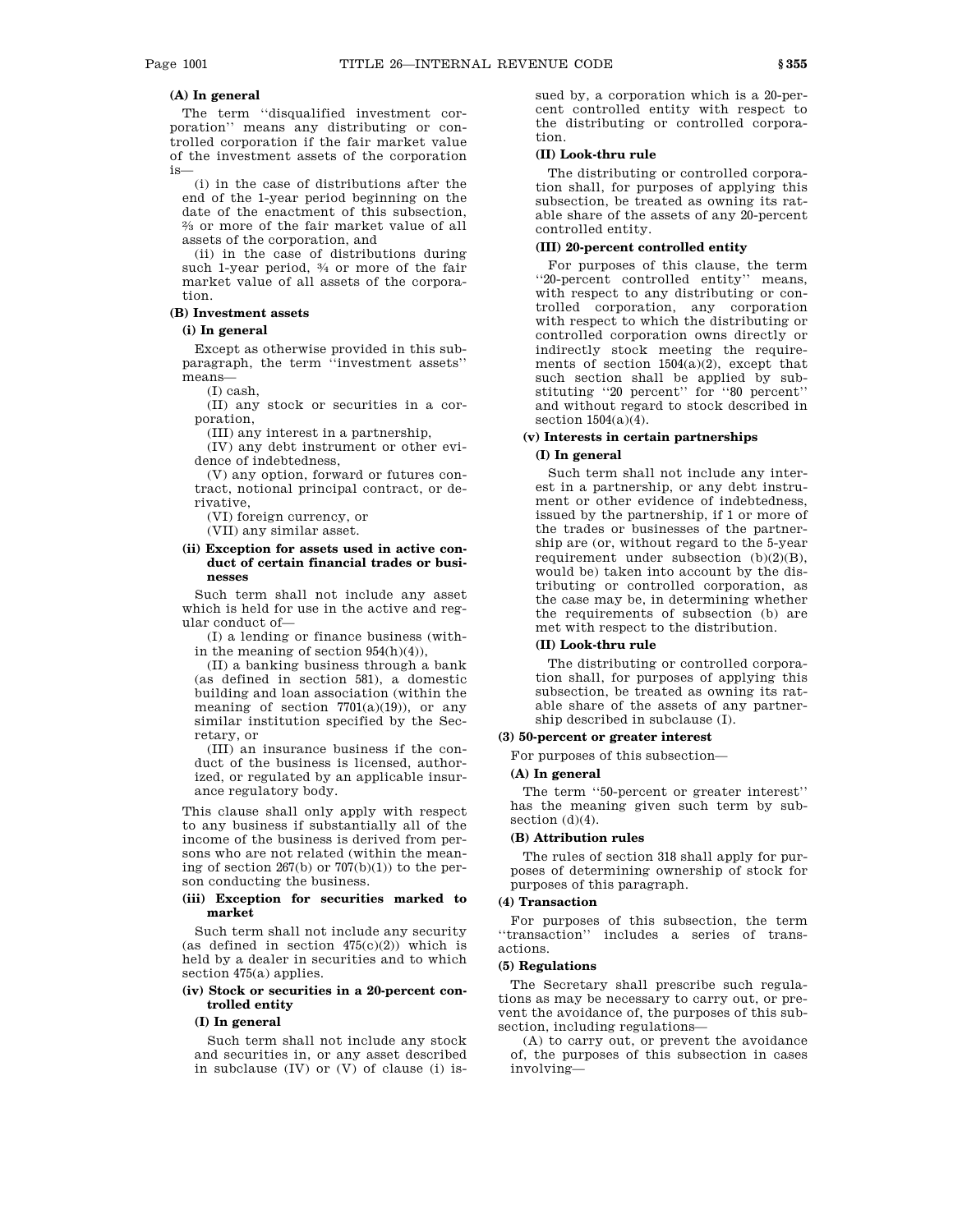# **(A) In general**

The term ''disqualified investment corporation'' means any distributing or controlled corporation if the fair market value of the investment assets of the corporation is—

(i) in the case of distributions after the end of the 1-year period beginning on the date of the enactment of this subsection, 2 ⁄3 or more of the fair market value of all assets of the corporation, and

(ii) in the case of distributions during such 1-year period, 3 ⁄4 or more of the fair market value of all assets of the corporation.

## **(B) Investment assets**

## **(i) In general**

Except as otherwise provided in this subparagraph, the term ''investment assets'' means—

(I) cash,

(II) any stock or securities in a corporation,

(III) any interest in a partnership,

(IV) any debt instrument or other evidence of indebtedness,

(V) any option, forward or futures contract, notional principal contract, or derivative,

(VI) foreign currency, or

(VII) any similar asset.

### **(ii) Exception for assets used in active conduct of certain financial trades or businesses**

Such term shall not include any asset which is held for use in the active and regular conduct of—

(I) a lending or finance business (within the meaning of section 954(h)(4)),

(II) a banking business through a bank (as defined in section 581), a domestic building and loan association (within the meaning of section  $7701(a)(19)$ , or any similar institution specified by the Secretary, or

(III) an insurance business if the conduct of the business is licensed, authorized, or regulated by an applicable insurance regulatory body.

This clause shall only apply with respect to any business if substantially all of the income of the business is derived from persons who are not related (within the meaning of section  $267(b)$  or  $707(b)(1)$  to the person conducting the business.

## **(iii) Exception for securities marked to market**

Such term shall not include any security (as defined in section  $475(c)(2)$ ) which is held by a dealer in securities and to which section 475(a) applies.

# **(iv) Stock or securities in a 20-percent controlled entity**

### **(I) In general**

Such term shall not include any stock and securities in, or any asset described in subclause (IV) or (V) of clause (i) issued by, a corporation which is a 20-percent controlled entity with respect to the distributing or controlled corporation.

### **(II) Look-thru rule**

The distributing or controlled corporation shall, for purposes of applying this subsection, be treated as owning its ratable share of the assets of any 20-percent controlled entity.

## **(III) 20-percent controlled entity**

For purposes of this clause, the term ''20-percent controlled entity'' means, with respect to any distributing or controlled corporation, any corporation with respect to which the distributing or controlled corporation owns directly or indirectly stock meeting the requirements of section 1504(a)(2), except that such section shall be applied by substituting ''20 percent'' for ''80 percent'' and without regard to stock described in section  $1504(a)(4)$ .

## **(v) Interests in certain partnerships (I) In general**

Such term shall not include any interest in a partnership, or any debt instrument or other evidence of indebtedness, issued by the partnership, if 1 or more of the trades or businesses of the partnership are (or, without regard to the 5-year requirement under subsection (b)(2)(B), would be) taken into account by the distributing or controlled corporation, as the case may be, in determining whether the requirements of subsection (b) are met with respect to the distribution.

### **(II) Look-thru rule**

The distributing or controlled corporation shall, for purposes of applying this subsection, be treated as owning its ratable share of the assets of any partnership described in subclause (I).

### **(3) 50-percent or greater interest**

For purposes of this subsection—

#### **(A) In general**

The term ''50-percent or greater interest'' has the meaning given such term by subsection (d)(4).

## **(B) Attribution rules**

The rules of section 318 shall apply for purposes of determining ownership of stock for purposes of this paragraph.

### **(4) Transaction**

For purposes of this subsection, the term ''transaction'' includes a series of transactions.

### **(5) Regulations**

The Secretary shall prescribe such regulations as may be necessary to carry out, or prevent the avoidance of, the purposes of this subsection, including regulations—

(A) to carry out, or prevent the avoidance of, the purposes of this subsection in cases involving—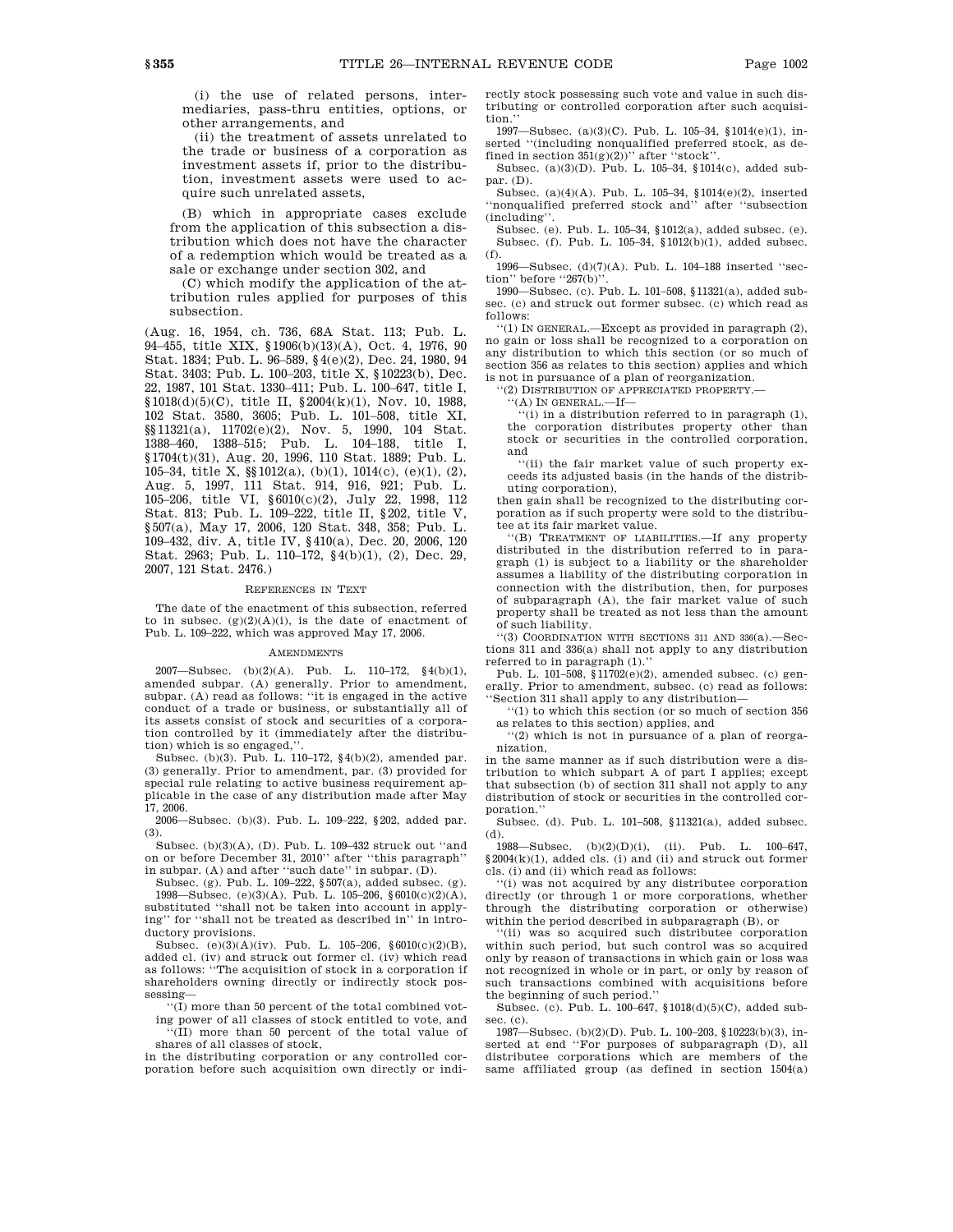(i) the use of related persons, intermediaries, pass-thru entities, options, or other arrangements, and

(ii) the treatment of assets unrelated to the trade or business of a corporation as investment assets if, prior to the distribution, investment assets were used to acquire such unrelated assets,

(B) which in appropriate cases exclude from the application of this subsection a distribution which does not have the character of a redemption which would be treated as a sale or exchange under section 302, and

(C) which modify the application of the attribution rules applied for purposes of this subsection.

(Aug. 16, 1954, ch. 736, 68A Stat. 113; Pub. L. 94–455, title XIX, §1906(b)(13)(A), Oct. 4, 1976, 90 Stat. 1834; Pub. L. 96–589, §4(e)(2), Dec. 24, 1980, 94 Stat. 3403; Pub. L. 100–203, title X, §10223(b), Dec. 22, 1987, 101 Stat. 1330–411; Pub. L. 100–647, title I, §1018(d)(5)(C), title II, §2004(k)(1), Nov. 10, 1988, 102 Stat. 3580, 3605; Pub. L. 101–508, title XI, §§11321(a), 11702(e)(2), Nov. 5, 1990, 104 Stat. 1388–460, 1388–515; Pub. L. 104–188, title I, §1704(t)(31), Aug. 20, 1996, 110 Stat. 1889; Pub. L. 105–34, title X, §§1012(a), (b)(1), 1014(c), (e)(1), (2), Aug. 5, 1997, 111 Stat. 914, 916, 921; Pub. L. 105–206, title VI, §6010(c)(2), July 22, 1998, 112 Stat. 813; Pub. L. 109–222, title II, §202, title V, §507(a), May 17, 2006, 120 Stat. 348, 358; Pub. L. 109–432, div. A, title IV, §410(a), Dec. 20, 2006, 120 Stat. 2963; Pub. L. 110–172, §4(b)(1), (2), Dec. 29, 2007, 121 Stat. 2476.)

### REFERENCES IN TEXT

The date of the enactment of this subsection, referred to in subsec.  $(g)(2)(A)(i)$ , is the date of enactment of Pub. L. 109–222, which was approved May 17, 2006.

#### **AMENDMENTS**

2007—Subsec. (b)(2)(A). Pub. L. 110–172,  $\S 4(b)(1),$ amended subpar. (A) generally. Prior to amendment, subpar. (A) read as follows: ''it is engaged in the active conduct of a trade or business, or substantially all of its assets consist of stock and securities of a corporation controlled by it (immediately after the distribution) which is so engaged,' $\,$ 

Subsec. (b)(3). Pub. L. 110–172, §4(b)(2), amended par. (3) generally. Prior to amendment, par. (3) provided for special rule relating to active business requirement applicable in the case of any distribution made after May 17, 2006.

2006—Subsec. (b)(3). Pub. L. 109–222, §202, added par. (3).

Subsec. (b)(3)(A), (D). Pub. L. 109–432 struck out ''and on or before December 31, 2010'' after ''this paragraph'' in subpar. (A) and after "such date" in subpar. (D).

Subsec. (g). Pub. L. 109–222, §507(a), added subsec. (g). 1998—Subsec. (e)(3)(A). Pub. L. 105–206, §6010(c)(2)(A), substituted ''shall not be taken into account in applying'' for ''shall not be treated as described in'' in introductory provisions.

Subsec. (e)(3)(A)(iv). Pub. L. 105–206, §6010(c)(2)(B), added cl. (iv) and struck out former cl. (iv) which read as follows: ''The acquisition of stock in a corporation if shareholders owning directly or indirectly stock possessing—

''(I) more than 50 percent of the total combined voting power of all classes of stock entitled to vote, and

''(II) more than 50 percent of the total value of shares of all classes of stock,

in the distributing corporation or any controlled corporation before such acquisition own directly or indirectly stock possessing such vote and value in such distributing or controlled corporation after such acquisition.''

1997—Subsec. (a)(3)(C). Pub. L. 105–34, §1014(e)(1), inserted "(including nonqualified preferred stock, as defined in section  $351(g)(2)$ )'' after "stock'.

Subsec. (a)(3)(D). Pub. L. 105–34, §1014(c), added subpar. (D).

Subsec. (a)(4)(A). Pub. L. 105–34, §1014(e)(2), inserted ''nonqualified preferred stock and'' after ''subsection (including''.

Subsec. (e). Pub. L. 105–34, §1012(a), added subsec. (e). Subsec. (f). Pub. L. 105–34, §1012(b)(1), added subsec. (f).

1996—Subsec. (d)(7)(A). Pub. L. 104–188 inserted ''section" before "267(b)"

1990—Subsec. (c). Pub. L. 101–508, §11321(a), added subsec. (c) and struck out former subsec. (c) which read as follows:

''(1) IN GENERAL.—Except as provided in paragraph (2), no gain or loss shall be recognized to a corporation on any distribution to which this section (or so much of section 356 as relates to this section) applies and which is not in pursuance of a plan of reorganization.

'(2) DISTRIBUTION OF APPRECIATED PROPERTY.-

 $'(A)$  In GENERAL.—If—

''(i) in a distribution referred to in paragraph (1), the corporation distributes property other than stock or securities in the controlled corporation, and

''(ii) the fair market value of such property exceeds its adjusted basis (in the hands of the distributing corporation),

then gain shall be recognized to the distributing corporation as if such property were sold to the distributee at its fair market value.

''(B) TREATMENT OF LIABILITIES.—If any property distributed in the distribution referred to in paragraph (1) is subject to a liability or the shareholder assumes a liability of the distributing corporation in connection with the distribution, then, for purposes of subparagraph (A), the fair market value of such property shall be treated as not less than the amount of such liability.

''(3) COORDINATION WITH SECTIONS 311 AND 336(a).—Sections 311 and 336(a) shall not apply to any distribution referred to in paragraph (1).''

Pub. L. 101–508,  $\frac{8}{3}11702(e)(2)$ , amended subsec. (c) generally. Prior to amendment, subsec. (c) read as follows: ''Section 311 shall apply to any distribution—

''(1) to which this section (or so much of section 356 as relates to this section) applies, and

''(2) which is not in pursuance of a plan of reorganization,

in the same manner as if such distribution were a distribution to which subpart A of part I applies; except that subsection (b) of section 311 shall not apply to any distribution of stock or securities in the controlled corporation.''

Subsec. (d). Pub. L. 101–508, §11321(a), added subsec. (d).

1988—Subsec. (b)(2)(D)(i), (ii). Pub. L. 100–647, §2004(k)(1), added cls. (i) and (ii) and struck out former cls. (i) and (ii) which read as follows:

''(i) was not acquired by any distributee corporation directly (or through 1 or more corporations, whether through the distributing corporation or otherwise) within the period described in subparagraph (B), or

''(ii) was so acquired such distributee corporation within such period, but such control was so acquired only by reason of transactions in which gain or loss was not recognized in whole or in part, or only by reason of such transactions combined with acquisitions before the beginning of such period.

Subsec. (c). Pub. L. 100–647, §1018(d)(5)(C), added subsec. (c).

1987—Subsec. (b)(2)(D). Pub. L. 100–203, §10223(b)(3), inserted at end ''For purposes of subparagraph (D), all distributee corporations which are members of the same affiliated group (as defined in section 1504(a)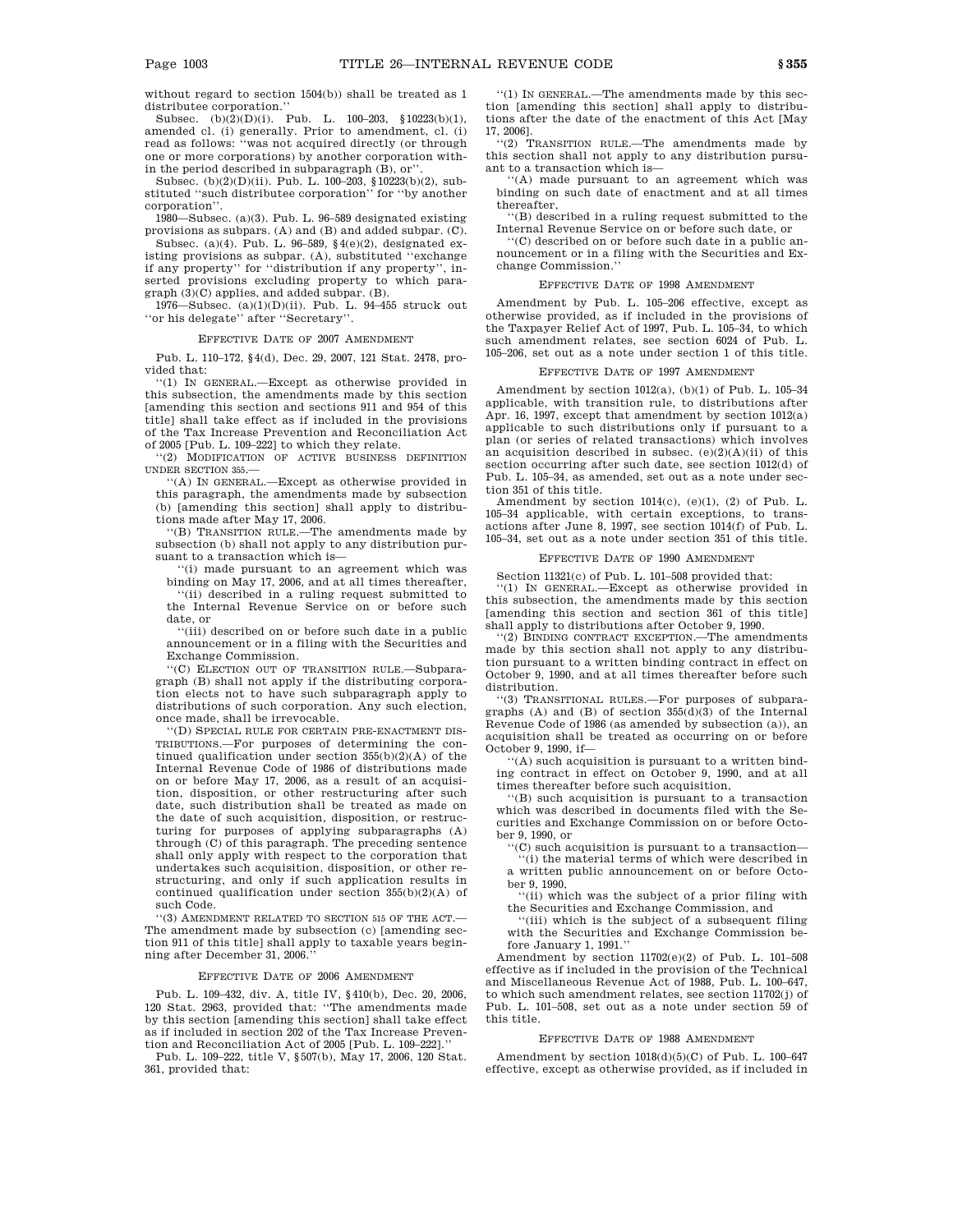without regard to section 1504(b)) shall be treated as 1 distributee corporation.''

Subsec.  $(b)(2)(D)(i)$ . Pub. L. 100–203, §10223(b)(1), amended cl. (i) generally. Prior to amendment, cl. (i) read as follows: ''was not acquired directly (or through one or more corporations) by another corporation within the period described in subparagraph (B), or''.

Subsec. (b)(2)(D)(ii). Pub. L. 100–203, §10223(b)(2), substituted ''such distributee corporation'' for ''by another corporation''.

1980—Subsec. (a)(3). Pub. L. 96–589 designated existing provisions as subpars. (A) and (B) and added subpar. (C).

Subsec. (a)(4). Pub. L. 96–589, §4(e)(2), designated existing provisions as subpar. (A), substituted ''exchange if any property'' for ''distribution if any property'', inserted provisions excluding property to which paragraph (3)(C) applies, and added subpar. (B).

1976—Subsec. (a)(1)(D)(ii). Pub. L. 94–455 struck out ''or his delegate'' after ''Secretary''.

#### EFFECTIVE DATE OF 2007 AMENDMENT

Pub. L. 110–172, §4(d), Dec. 29, 2007, 121 Stat. 2478, provided that:

''(1) IN GENERAL.—Except as otherwise provided in this subsection, the amendments made by this section [amending this section and sections 911 and 954 of this title] shall take effect as if included in the provisions of the Tax Increase Prevention and Reconciliation Act of 2005 [Pub. L. 109–222] to which they relate.

''(2) MODIFICATION OF ACTIVE BUSINESS DEFINITION UNDER SECTION 355.—

''(A) IN GENERAL.—Except as otherwise provided in this paragraph, the amendments made by subsection (b) [amending this section] shall apply to distributions made after May 17, 2006.

''(B) TRANSITION RULE.—The amendments made by subsection (b) shall not apply to any distribution pursuant to a transaction which is—

''(i) made pursuant to an agreement which was

binding on May 17, 2006, and at all times thereafter, ''(ii) described in a ruling request submitted to the Internal Revenue Service on or before such date, or

''(iii) described on or before such date in a public announcement or in a filing with the Securities and Exchange Commission.

''(C) ELECTION OUT OF TRANSITION RULE.—Subparagraph (B) shall not apply if the distributing corporation elects not to have such subparagraph apply to distributions of such corporation. Any such election, once made, shall be irrevocable.

''(D) SPECIAL RULE FOR CERTAIN PRE-ENACTMENT DIS-TRIBUTIONS.—For purposes of determining the continued qualification under section 355(b)(2)(A) of the Internal Revenue Code of 1986 of distributions made on or before May 17, 2006, as a result of an acquisition, disposition, or other restructuring after such date, such distribution shall be treated as made on the date of such acquisition, disposition, or restructuring for purposes of applying subparagraphs (A) through (C) of this paragraph. The preceding sentence shall only apply with respect to the corporation that undertakes such acquisition, disposition, or other restructuring, and only if such application results in continued qualification under section 355(b)(2)(A) of such Code.

''(3) AMENDMENT RELATED TO SECTION 515 OF THE ACT.— The amendment made by subsection (c) [amending section 911 of this title] shall apply to taxable years beginning after December 31, 2006.''

### EFFECTIVE DATE OF 2006 AMENDMENT

Pub. L. 109–432, div. A, title IV, §410(b), Dec. 20, 2006, 120 Stat. 2963, provided that: ''The amendments made by this section [amending this section] shall take effect as if included in section 202 of the Tax Increase Prevention and Reconciliation Act of 2005 [Pub. L. 109–222].''

Pub. L. 109–222, title V, §507(b), May 17, 2006, 120 Stat. 361, provided that:

''(1) IN GENERAL.—The amendments made by this section [amending this section] shall apply to distributions after the date of the enactment of this Act [May 17, 2006].

''(2) TRANSITION RULE.—The amendments made by this section shall not apply to any distribution pursuant to a transaction which is—

''(A) made pursuant to an agreement which was binding on such date of enactment and at all times thereafter,

''(B) described in a ruling request submitted to the Internal Revenue Service on or before such date, or

''(C) described on or before such date in a public announcement or in a filing with the Securities and Exchange Commission.''

#### EFFECTIVE DATE OF 1998 AMENDMENT

Amendment by Pub. L. 105–206 effective, except as otherwise provided, as if included in the provisions of the Taxpayer Relief Act of 1997, Pub. L. 105–34, to which such amendment relates, see section 6024 of Pub. L. 105–206, set out as a note under section 1 of this title.

#### EFFECTIVE DATE OF 1997 AMENDMENT

Amendment by section 1012(a), (b)(1) of Pub. L. 105–34 applicable, with transition rule, to distributions after Apr. 16, 1997, except that amendment by section 1012(a) applicable to such distributions only if pursuant to a plan (or series of related transactions) which involves an acquisition described in subsec.  $(e)(2)(A)(ii)$  of this section occurring after such date, see section 1012(d) of Pub. L. 105–34, as amended, set out as a note under section 351 of this title.

Amendment by section  $1014(c)$ ,  $(e)(1)$ ,  $(2)$  of Pub. L. 105–34 applicable, with certain exceptions, to transactions after June 8, 1997, see section 1014(f) of Pub. L. 105–34, set out as a note under section 351 of this title.

### EFFECTIVE DATE OF 1990 AMENDMENT

Section 11321(c) of Pub. L. 101–508 provided that:

''(1) IN GENERAL.—Except as otherwise provided in this subsection, the amendments made by this section [amending this section and section 361 of this title] shall apply to distributions after October 9, 1990.

''(2) BINDING CONTRACT EXCEPTION.—The amendments made by this section shall not apply to any distribution pursuant to a written binding contract in effect on October 9, 1990, and at all times thereafter before such distribution.

''(3) TRANSITIONAL RULES.—For purposes of subpara-graphs (A) and (B) of section 355(d)(3) of the Internal Revenue Code of 1986 (as amended by subsection (a)), an acquisition shall be treated as occurring on or before October 9, 1990, if—

''(A) such acquisition is pursuant to a written binding contract in effect on October 9, 1990, and at all times thereafter before such acquisition,

''(B) such acquisition is pursuant to a transaction which was described in documents filed with the Securities and Exchange Commission on or before October 9, 1990, or

 $(C)$  such acquisition is pursuant to a transaction—

''(i) the material terms of which were described in a written public announcement on or before October 9, 1990,

''(ii) which was the subject of a prior filing with the Securities and Exchange Commission, and

''(iii) which is the subject of a subsequent filing with the Securities and Exchange Commission before January 1, 1991.''

Amendment by section 11702(e)(2) of Pub. L. 101–508 effective as if included in the provision of the Technical and Miscellaneous Revenue Act of 1988, Pub. L. 100–647, to which such amendment relates, see section 11702(j) of Pub. L. 101–508, set out as a note under section 59 of this title.

#### EFFECTIVE DATE OF 1988 AMENDMENT

Amendment by section 1018(d)(5)(C) of Pub. L. 100–647 effective, except as otherwise provided, as if included in